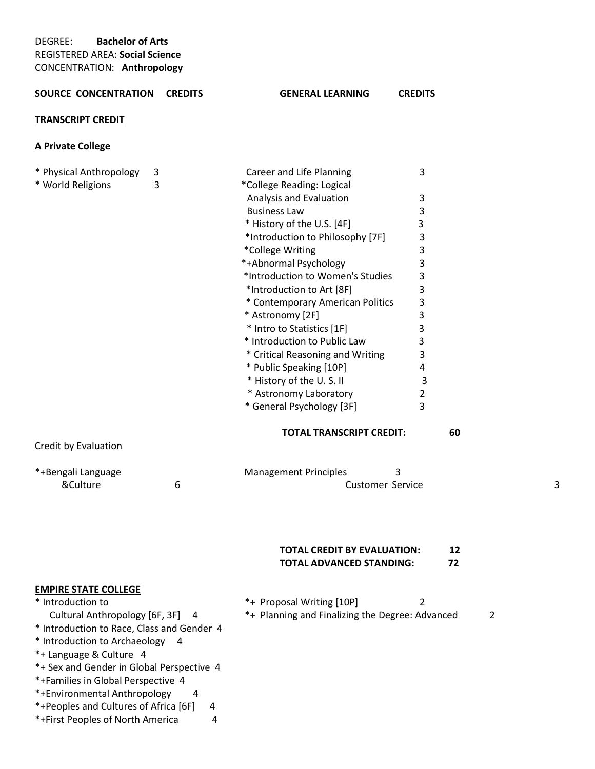#### **SOURCE CONCENTRATION CREDITS GENERAL LEARNING CREDITS**

#### **TRANSCRIPT CREDIT**

# **A Private College**

| * Physical Anthropology<br>* World Religions | 3<br>3 | Career and Life Planning<br>*College Reading: Logical | 3              |   |
|----------------------------------------------|--------|-------------------------------------------------------|----------------|---|
|                                              |        | Analysis and Evaluation                               | 3              |   |
|                                              |        | <b>Business Law</b>                                   | 3              |   |
|                                              |        | * History of the U.S. [4F]                            | 3              |   |
|                                              |        | *Introduction to Philosophy [7F]                      | 3              |   |
|                                              |        | *College Writing                                      | 3              |   |
|                                              |        | *+Abnormal Psychology                                 | 3              |   |
|                                              |        | *Introduction to Women's Studies                      | 3              |   |
|                                              |        | *Introduction to Art [8F]                             | 3              |   |
|                                              |        | * Contemporary American Politics                      | 3              |   |
|                                              |        | * Astronomy [2F]                                      | 3              |   |
|                                              |        | * Intro to Statistics [1F]                            | 3              |   |
|                                              |        | * Introduction to Public Law                          | 3              |   |
|                                              |        | * Critical Reasoning and Writing                      | 3              |   |
|                                              |        | * Public Speaking [10P]                               | 4              |   |
|                                              |        | * History of the U.S.II                               | 3              |   |
|                                              |        | * Astronomy Laboratory                                | 2              |   |
|                                              |        | * General Psychology [3F]                             | 3              |   |
|                                              |        | <b>TOTAL TRANSCRIPT CREDIT:</b>                       | 60             |   |
| <b>Credit by Evaluation</b>                  |        |                                                       |                |   |
| *+Bengali Language                           |        | <b>Management Principles</b><br>3                     |                |   |
| &Culture                                     | 6      | <b>Customer Service</b>                               |                | 3 |
|                                              |        |                                                       |                |   |
|                                              |        | <b>TOTAL CREDIT BY EVALUATION:</b>                    | 12             |   |
|                                              |        | <b>TOTAL ADVANCED STANDING:</b>                       | 72             |   |
| <b>EMPIRE STATE COLLEGE</b>                  |        |                                                       |                |   |
| * Introduction to                            |        | *+ Proposal Writing [10P]                             | $\overline{2}$ |   |
| Cultural Anthropology [6F, 3F]               | - 4    | *+ Planning and Finalizing the Degree: Advanced       | $\overline{2}$ |   |
| * Introduction to Race, Class and Gender 4   |        |                                                       |                |   |
| * Introduction to Archaeology                | 4      |                                                       |                |   |

- \*+ Language & Culture 4
- \*+ Sex and Gender in Global Perspective 4
- \*+Families in Global Perspective 4
- \*+Environmental Anthropology 4
- \*+Peoples and Cultures of Africa [6F] 4
- \*+First Peoples of North America 4

# **TOTAL CREDIT BY EVALUATION: 12**